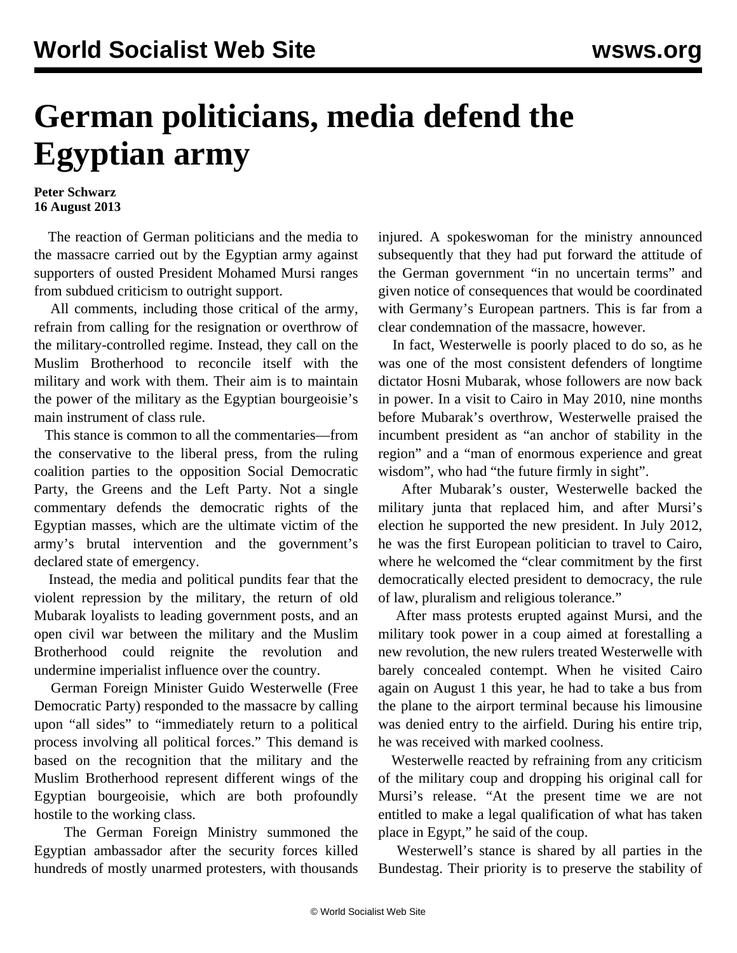## **German politicians, media defend the Egyptian army**

## **Peter Schwarz 16 August 2013**

 The reaction of German politicians and the media to the massacre carried out by the Egyptian army against supporters of ousted President Mohamed Mursi ranges from subdued criticism to outright support.

 All comments, including those critical of the army, refrain from calling for the resignation or overthrow of the military-controlled regime. Instead, they call on the Muslim Brotherhood to reconcile itself with the military and work with them. Their aim is to maintain the power of the military as the Egyptian bourgeoisie's main instrument of class rule.

 This stance is common to all the commentaries—from the conservative to the liberal press, from the ruling coalition parties to the opposition Social Democratic Party, the Greens and the Left Party. Not a single commentary defends the democratic rights of the Egyptian masses, which are the ultimate victim of the army's brutal intervention and the government's declared state of emergency.

 Instead, the media and political pundits fear that the violent repression by the military, the return of old Mubarak loyalists to leading government posts, and an open civil war between the military and the Muslim Brotherhood could reignite the revolution and undermine imperialist influence over the country.

 German Foreign Minister Guido Westerwelle (Free Democratic Party) responded to the massacre by calling upon "all sides" to "immediately return to a political process involving all political forces." This demand is based on the recognition that the military and the Muslim Brotherhood represent different wings of the Egyptian bourgeoisie, which are both profoundly hostile to the working class.

 The German Foreign Ministry summoned the Egyptian ambassador after the security forces killed hundreds of mostly unarmed protesters, with thousands injured. A spokeswoman for the ministry announced subsequently that they had put forward the attitude of the German government "in no uncertain terms" and given notice of consequences that would be coordinated with Germany's European partners. This is far from a clear condemnation of the massacre, however.

 In fact, Westerwelle is poorly placed to do so, as he was one of the most consistent defenders of longtime dictator Hosni Mubarak, whose followers are now back in power. In a visit to Cairo in May 2010, nine months before Mubarak's overthrow, Westerwelle praised the incumbent president as "an anchor of stability in the region" and a "man of enormous experience and great wisdom", who had "the future firmly in sight".

 After Mubarak's ouster, Westerwelle backed the military junta that replaced him, and after Mursi's election he supported the new president. In July 2012, he was the first European politician to travel to Cairo, where he welcomed the "clear commitment by the first democratically elected president to democracy, the rule of law, pluralism and religious tolerance."

 After mass protests erupted against Mursi, and the military took power in a coup aimed at forestalling a new revolution, the new rulers treated Westerwelle with barely concealed contempt. When he visited Cairo again on August 1 this year, he had to take a bus from the plane to the airport terminal because his limousine was denied entry to the airfield. During his entire trip, he was received with marked coolness.

 Westerwelle reacted by refraining from any criticism of the military coup and dropping his original call for Mursi's release. "At the present time we are not entitled to make a legal qualification of what has taken place in Egypt," he said of the coup.

 Westerwell's stance is shared by all parties in the Bundestag. Their priority is to preserve the stability of